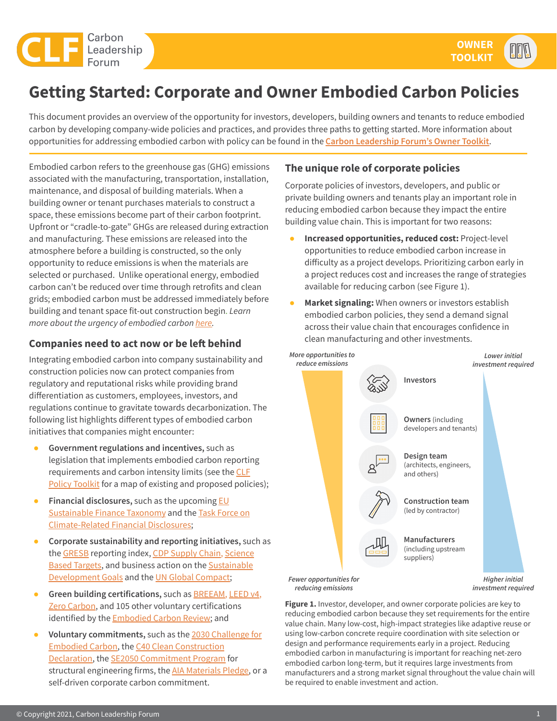

# **Getting Started: Corporate and Owner Embodied Carbon Policies**

This document provides an overview of the opportunity for investors, developers, building owners and tenants to reduce embodied carbon by developing company-wide policies and practices, and provides three paths to getting started. More information about opportunities for addressing embodied carbon with policy can be found in the **[Carbon Leadership Forum's Owner Toolkit](https://carbonleadershipforum.org/clf-owner-toolkit)**.

Embodied carbon refers to the greenhouse gas (GHG) emissions associated with the manufacturing, transportation, installation, maintenance, and disposal of building materials. When a building owner or tenant purchases materials to construct a space, these emissions become part of their carbon footprint. Upfront or "cradle-to-gate" GHGs are released during extraction and manufacturing. These emissions are released into the atmosphere before a building is constructed, so the only opportunity to reduce emissions is when the materials are selected or purchased. Unlike operational energy, embodied carbon can't be reduced over time through retrofits and clean grids; embodied carbon must be addressed immediately before building and tenant space fit-out construction begin. *Learn more about the urgency of embodied carbon [here](https://carbonleadershipforum.org/embodied-carbon-101/).*

### **Companies need to act now or be left behind**

Integrating embodied carbon into company sustainability and construction policies now can protect companies from regulatory and reputational risks while providing brand differentiation as customers, employees, investors, and regulations continue to gravitate towards decarbonization. The following list highlights different types of embodied carbon initiatives that companies might encounter:

- **Government regulations and incentives,** such as legislation that implements embodied carbon reporting requirements and carbon intensity limits (see the [CLF](https://carbonleadershipforum.org/clf-policy-toolkit/) [Policy Toolkit](https://carbonleadershipforum.org/clf-policy-toolkit/) for a map of existing and proposed policies);
- **Financial disclosures,** such as the upcoming **EU** [Sustainable Finance Taxonomy](https://ec.europa.eu/info/sites/info/files/business_economy_euro/banking_and_finance/documents/200309-sustainable-finance-teg-final-report-taxonomy_en.pdf) and the [Task Force on](https://www.fsb-tcfd.org/) [Climate-Related Financial Disclosures](https://www.fsb-tcfd.org/);
- **Corporate sustainability and reporting initiatives,** such as the [GRESB](https://documents.gresb.com/generated_files/real_estate/2020/real_estate/reference_guide/complete.html#scoring_methodology) reporting index, [CDP Supply Chain,](https://www.cdp.net/en/research/global-reports/transparency-to-transformation) [Science](https://sciencebasedtargets.org/how-it-works) **[Based Targets](https://sciencebasedtargets.org/how-it-works), and business action on the [Sustainable](https://sdgs.un.org/goals)** [Development Goals](https://sdgs.un.org/goals) and the [UN Global Compact;](https://www.unglobalcompact.org/sdgs)
- **Green building certifications, such as <b>[BREEAM](https://www.breeam.com/)**, [LEED v4](https://www.usgbc.org/leed/v4), [Zero Carbon](https://living-future.org/zero-carbon-certification/), and 105 other voluntary certifications identified by the **[Embodied Carbon Review](https://www.oneclicklca.com/wp-content/uploads/2018/12/Embodied_Carbon_Review_2018.pdf)**; and
- Voluntary commitments, such as the [2030 Challenge for](https://architecture2030.org/2030_challenges/embodied/) [Embodied Carbon](https://architecture2030.org/2030_challenges/embodied/), the [C40 Clean Construction](https://www.c40.org/clean-construction-declaration) [Declaration,](https://www.c40.org/clean-construction-declaration) the [SE2050 Commitment Program](https://se2050.org/what-is-se-2050-overview/) for structural engineering firms, the [AIA Materials Pledge](https://www.aia.org/pages/6351155-materials-pledge), or a self-driven corporate carbon commitment.

## **The unique role of corporate policies**

Corporate policies of investors, developers, and public or private building owners and tenants play an important role in reducing embodied carbon because they impact the entire building value chain. This is important for two reasons:

- **Increased opportunities, reduced cost:** Project-level opportunities to reduce embodied carbon increase in difficulty as a project develops. Prioritizing carbon early in a project reduces cost and increases the range of strategies available for reducing carbon (see Figure 1).
- **Market signaling:** When owners or investors establish embodied carbon policies, they send a demand signal across their value chain that encourages confidence in clean manufacturing and other investments.



**Figure 1.** Investor, developer, and owner corporate policies are key to reducing embodied carbon because they set requirements for the entire value chain. Many low-cost, high-impact strategies like adaptive reuse or using low-carbon concrete require coordination with site selection or design and performance requirements early in a project. Reducing embodied carbon in manufacturing is important for reaching net-zero embodied carbon long-term, but it requires large investments from manufacturers and a strong market signal throughout the value chain will be required to enable investment and action.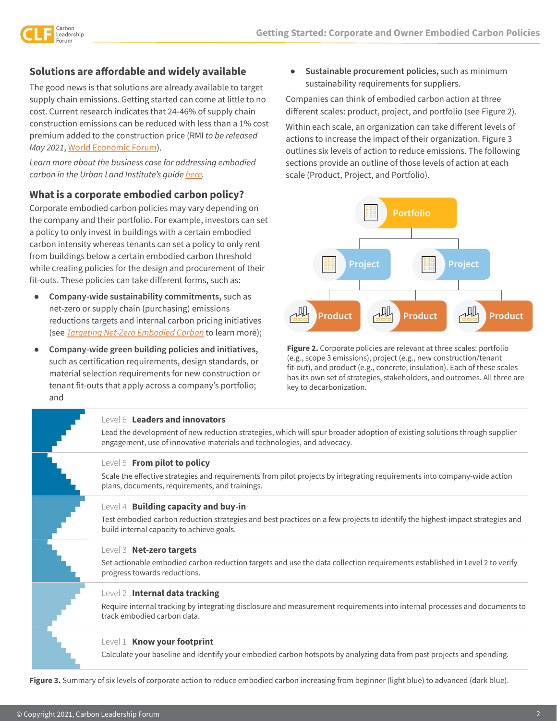

## **Solutions are affordable and widely available**

The good news is that solutions are already available to target supply chain emissions. Getting started can come at little to no cost. Current research indicates that 24-46% of supply chain construction emissions can be reduced with less than a 1% cost premium added to the construction price (RMI *to be released May 2021*, [World Economic Forum](https://www.weforum.org/reports/net-zero-challenge-the-supply-chain-opportunity)).

*Learn more about the business case for addressing embodied carbon in the Urban Land Institute's guide [here](https://2os2f877tnl1dvtmc3wy0aq1-wpengine.netdna-ssl.com/wp-content/uploads/ULI-Documents/Greenprint-Embodied-Carbon-Report_FINAL.pdf).*

#### **What is a corporate embodied carbon policy?**

Corporate embodied carbon policies may vary depending on the company and their portfolio. For example, investors can set a policy to only invest in buildings with a certain embodied carbon intensity whereas tenants can set a policy to only rent from buildings below a certain embodied carbon threshold while creating policies for the design and procurement of their fit-outs. These policies can take different forms, such as:

- **Company-wide sustainability commitments,** such as net-zero or supply chain (purchasing) emissions reductions targets and internal carbon pricing initiatives (see *[Targeting Net-Zero Embodied Carbon](https://carbonleadershipforum.org/targeting-net-zero-embodied-carbon/)* to learn more);
- **Company-wide green building policies and initiatives,**  such as certification requirements, design standards, or material selection requirements for new construction or tenant fit-outs that apply across a company's portfolio; and

● **Sustainable procurement policies,** such as minimum sustainability requirements for suppliers.

Companies can think of embodied carbon action at three different scales: product, project, and portfolio (see Figure 2).

Within each scale, an organization can take different levels of actions to increase the impact of their organization. Figure 3 outlines six levels of action to reduce emissions. The following sections provide an outline of those levels of action at each scale (Product, Project, and Portfolio).



**Figure 2.** Corporate policies are relevant at three scales: portfolio (e.g., scope 3 emissions), project (e.g., new construction/tenant fit-out), and product (e.g., concrete, insulation). Each of these scales has its own set of strategies, stakeholders, and outcomes. All three are key to decarbonization.

#### Level 6 **Leaders and innovators**

Lead the development of new reduction strategies, which will spur broader adoption of existing solutions through supplier engagement, use of innovative materials and technologies, and advocacy.

#### Level 5 **From pilot to policy**

Scale the effective strategies and requirements from pilot projects by integrating requirements into company-wide action plans, documents, requirements, and trainings.

#### Level 4 **Building capacity and buy-in**

Test embodied carbon reduction strategies and best practices on a few projects to identify the highest-impact strategies and build internal capacity to achieve goals.

#### Level 3 **Net-zero targets**

Set actionable embodied carbon reduction targets and use the data collection requirements established in Level 2 to verify progress towards reductions.

#### Level 2 **Internal data tracking**

Require internal tracking by integrating disclosure and measurement requirements into internal processes and documents to track embodied carbon data.

#### Level 1 **Know your footprint**

Calculate your baseline and identify your embodied carbon hotspots by analyzing data from past projects and spending.

**Figure 3.** Summary of six levels of corporate action to reduce embodied carbon increasing from beginner (light blue) to advanced (dark blue).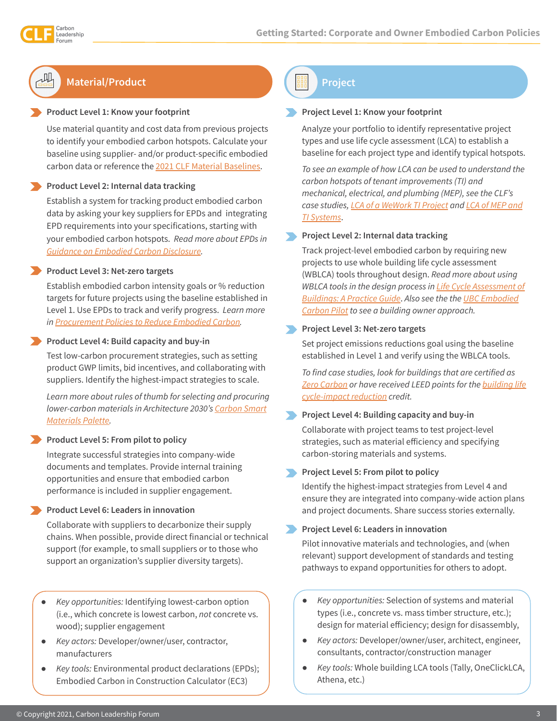# **Material/Product**

#### **Product Level 1: Know your footprint**

Use material quantity and cost data from previous projects to identify your embodied carbon hotspots. Calculate your baseline using supplier- and/or product-specific embodied carbon data or reference the [2021 CLF Material Baselines](https://carbonleadershipforum.org/material-baselines/).

#### **Product Level 2: Internal data tracking**

Establish a system for tracking product embodied carbon data by asking your key suppliers for EPDs and integrating EPD requirements into your specifications, starting with your embodied carbon hotspots. *Read more about EPDs in [Guidance on Embodied Carbon Disclosure.](https://carbonleadershipforum.org/guidance-on-embodied-carbon-disclosure/)*

#### **Product Level 3: Net-zero targets**

Establish embodied carbon intensity goals or % reduction targets for future projects using the baseline established in Level 1. Use EPDs to track and verify progress. *Learn more in [Procurement Policies to Reduce Embodied Carbon.](https://carbonleadershipforum.org/procurement-policies-to-reduce-embodied-carbon/)*

#### **Product Level 4: Build capacity and buy-in**

Test low-carbon procurement strategies, such as setting product GWP limits, bid incentives, and collaborating with suppliers. Identify the highest-impact strategies to scale.

*Learn more about rules of thumb for selecting and procuring lower-carbon materials in Architecture 2030's [Carbon Smart](https://materialspalette.org/) [Materials Palette](https://materialspalette.org/).*

#### **Product Level 5: From pilot to policy**

Integrate successful strategies into company-wide documents and templates. Provide internal training opportunities and ensure that embodied carbon performance is included in supplier engagement.

#### **Product Level 6: Leaders in innovation**

Collaborate with suppliers to decarbonize their supply chains. When possible, provide direct financial or technical support (for example, to small suppliers or to those who support an organization's supplier diversity targets).

- *Key opportunities:* Identifying lowest-carbon option (i.e., which concrete is lowest carbon, *not* concrete vs. wood); supplier engagement
- *Key actors:* Developer/owner/user, contractor, manufacturers
- *Key tools:* Environmental product declarations (EPDs); Embodied Carbon in Construction Calculator (EC3)

**Project**

#### **Project Level 1: Know your footprint**

Analyze your portfolio to identify representative project types and use life cycle assessment (LCA) to establish a baseline for each project type and identify typical hotspots.

*To see an example of how LCA can be used to understand the carbon hotspots of tenant improvements (TI) and mechanical, electrical, and plumbing (MEP), see the CLF's case studies, [LCA of a WeWork TI Project](https://carbonleadershipforum.org/lca-of-a-wework-tenant-improvement-project/) and [LCA of MEP and](https://carbonleadershipforum.org/lca-of-mep-systems-and-tenant-improvements/) [TI Systems](https://carbonleadershipforum.org/lca-of-mep-systems-and-tenant-improvements/)*.

#### **Project Level 2: Internal data tracking**

Track project-level embodied carbon by requiring new projects to use whole building life cycle assessment (WBLCA) tools throughout design. *Read more about using WBLCA tools in the design process in [Life Cycle Assessment of](https://carbonleadershipforum.org/lca-practice-guide/) [Buildings: A Practice Guide](https://carbonleadershipforum.org/lca-practice-guide/)*. *Also see the the [UBC Embodied](https://sustain.ubc.ca/sites/default/files/ECP%20Final%20Report-Phase%201%20June%202021.pdf) [Carbon Pilot](https://sustain.ubc.ca/sites/default/files/ECP%20Final%20Report-Phase%201%20June%202021.pdf) to see a building owner approach.*

#### **Project Level 3: Net-zero targets**

Set project emissions reductions goal using the baseline established in Level 1 and verify using the WBLCA tools.

*To find case studies, look for buildings that are certified as [Zero Carbon](https://living-future.org/zero-carbon-certification/) or have received LEED points for the [building life](https://www.usgbc.org/credits/new-construction-schools-new-construction-retail-new-construction-data-centers-new-construct?return=/credits/new-construction/v4) [cycle-impact reduction](https://www.usgbc.org/credits/new-construction-schools-new-construction-retail-new-construction-data-centers-new-construct?return=/credits/new-construction/v4) credit.* 

#### **Project Level 4: Building capacity and buy-in**

Collaborate with project teams to test project-level strategies, such as material efficiency and specifying carbon-storing materials and systems.

#### **Project Level 5: From pilot to policy**

Identify the highest-impact strategies from Level 4 and ensure they are integrated into company-wide action plans and project documents. Share success stories externally.

#### **Project Level 6: Leaders in innovation**

Pilot innovative materials and technologies, and (when relevant) support development of standards and testing pathways to expand opportunities for others to adopt.

- Key opportunities: Selection of systems and material types (i.e., concrete vs. mass timber structure, etc.); design for material efficiency; design for disassembly,
- *● Key actors:* Developer/owner/user, architect, engineer, consultants, contractor/construction manager
- *● Key tools:* Whole building LCA tools (Tally, OneClickLCA, Athena, etc.)